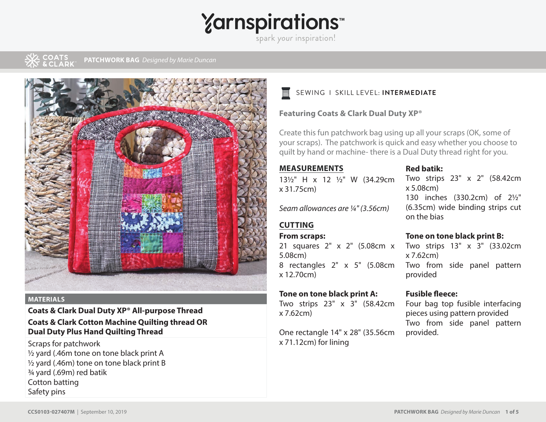## **Yarnspirations**

spark your inspiration!

**PATCHWORK BAG** *Designed by Marie Duncan*



#### **MATERIALS**

#### **Coats & Clark Dual Duty XP® All-purpose Thread Coats & Clark Cotton Machine Quilting thread OR Dual Duty Plus Hand Quilting Thread**

Scraps for patchwork ½ yard (.46m tone on tone black print A ½ yard (.46m) tone on tone black print B ¾ yard (.69m) red batik Cotton batting Safety pins

### SEWING I SKILL LEVEL: **INTERMEDIATE**

#### **Featuring Coats & Clark Dual Duty XP®**

Create this fun patchwork bag using up all your scraps (OK, some of your scraps). The patchwork is quick and easy whether you choose to quilt by hand or machine- there is a Dual Duty thread right for you.

#### **MEASUREMENTS**

13½ " H x 12 ½ " W (34.29cm x 31.75cm)

*Seam allowances are ¼ " (3.56cm)*

#### **CUTTING**

#### **From scraps:**

21 squares 2" x 2" (5.08cm x Two strips 13" x 3" (33.02cm 5.08cm) 8 rectangles 2" x 5" (5.08cm x 12.70cm)

#### **Tone on tone black print A:**

Two strips 23" x 3" (58.42cm x 7.62cm)

One rectangle 14" x 28" (35.56cm x 71.12cm) for lining

#### **Red batik:**

Two strips 23" x 2" (58.42cm x 5.08cm) 130 inches (330.2cm) of 2½" (6.35cm) wide binding strips cut on the bias

#### **Tone on tone black print B:**

x 7.62cm) Two from side panel pattern provided

#### **Fusible fleece:**

Four bag top fusible interfacing pieces using pattern provided Two from side panel pattern provided.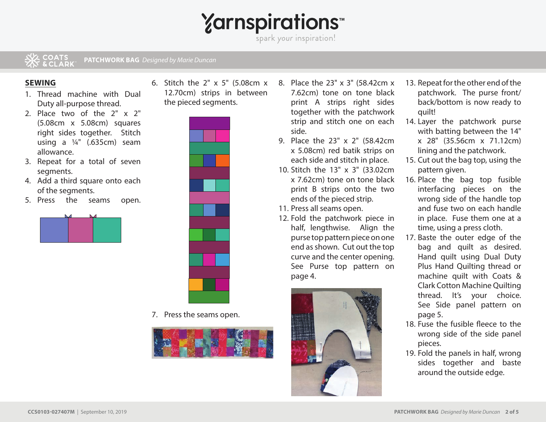**Yarnspirations** 

spark your inspiration!

#### & COATS<br>& & CLARK **PATCHWORK BAG** *Designed by Marie Duncan*

#### **SEWING**

- 1. Thread machine with Dual Duty all-purpose thread.
- 2. Place two of the 2" x 2" (5.08cm x 5.08cm) squares right sides together. Stitch using a ¼" (.635cm) seam allowance.
- 3. Repeat for a total of seven segments.
- 4. Add a third square onto each of the segments.
- 5. Press the seams open.







7. Press the seams open.



- 8. Place the 23" x 3" (58.42cm x 7.62cm) tone on tone black print A strips right sides together with the patchwork strip and stitch one on each side.
- 9. Place the 23" x 2" (58.42cm x 5.08cm) red batik strips on each side and stitch in place.
- 10. Stitch the 13" x 3" (33.02cm x 7.62cm) tone on tone black print B strips onto the two ends of the pieced strip.
- 11. Press all seams open.
- 12. Fold the patchwork piece in half, lengthwise. Align the purse top pattern piece on one end as shown. Cut out the top curve and the center opening. See Purse top pattern on page 4.



- 13. Repeat for the other end of the patchwork. The purse front/ back/bottom is now ready to quilt!
- 14. Layer the patchwork purse with batting between the 14" x 28" (35.56cm x 71.12cm) lining and the patchwork.
- 15. Cut out the bag top, using the pattern given.
- 16. Place the bag top fusible interfacing pieces on the wrong side of the handle top and fuse two on each handle in place. Fuse them one at a time, using a press cloth.
- 17. Baste the outer edge of the bag and quilt as desired. Hand quilt using Dual Duty Plus Hand Quilting thread or machine quilt with Coats & Clark Cotton Machine Quilting thread. It's your choice. See Side panel pattern on page 5.
- 18. Fuse the fusible fleece to the wrong side of the side panel pieces.
- 19. Fold the panels in half, wrong sides together and baste around the outside edge.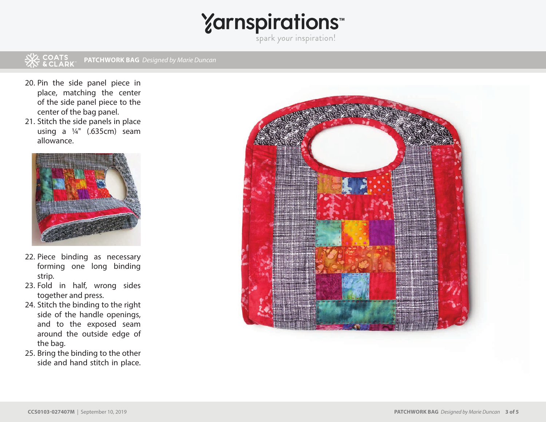# Yarnspirations<sup>\*\*</sup>

#### **PATCHWORK BAG** *Designed by Marie Duncan*

- 20. Pin the side panel piece in place, matching the center of the side panel piece to the center of the bag panel.
- 21. Stitch the side panels in place using a ¼" (.635cm) seam allowance.



- 22. Piece binding as necessary forming one long binding strip.
- 23. Fold in half, wrong sides together and press.
- 24. Stitch the binding to the right side of the handle openings, and to the exposed seam around the outside edge of the bag.
- 25. Bring the binding to the other side and hand stitch in place.

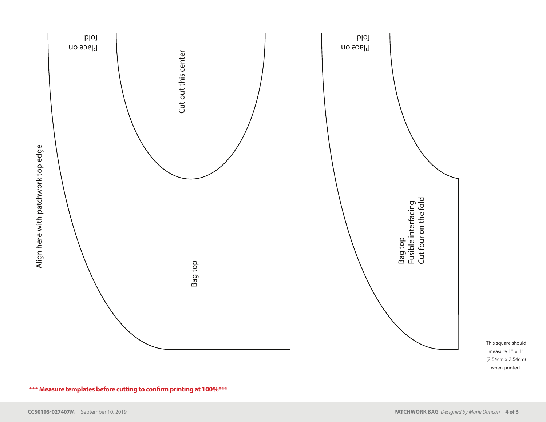

\*\*\* Measure templates before cutting to confirm printing at 100%\*\*\*

This square should measure 1" x 1" (2.54cm x 2.54cm) when printed.